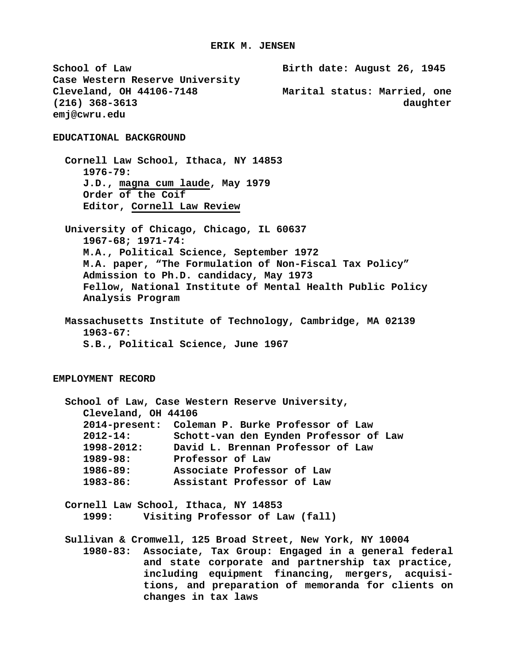**School of Law Birth date: August 26, 1945 Case Western Reserve University** Marital status: Married, one **(216) 368-3613 daughter emj@cwru.edu EDUCATIONAL BACKGROUND Cornell Law School, Ithaca, NY 14853 1976-79: J.D., magna cum laude, May 1979 Order of the Coif Editor, Cornell Law Review University of Chicago, Chicago, IL 60637 1967-68; 1971-74: M.A., Political Science, September 1972 M.A. paper, "The Formulation of Non-Fiscal Tax Policy" Admission to Ph.D. candidacy, May 1973 Fellow, National Institute of Mental Health Public Policy Analysis Program Massachusetts Institute of Technology, Cambridge, MA 02139 1963-67: S.B., Political Science, June 1967 EMPLOYMENT RECORD School of Law, Case Western Reserve University, Cleveland, OH 44106 2014-present: Coleman P. Burke Professor of Law 2012-14: Schott-van den Eynden Professor of Law 1998-2012: David L. Brennan Professor of Law 1989-98: Professor of Law 1986-89: Associate Professor of Law 1983-86: Assistant Professor of Law Cornell Law School, Ithaca, NY 14853 1999: Visiting Professor of Law (fall) Sullivan & Cromwell, 125 Broad Street, New York, NY 10004 1980-83: Associate, Tax Group: Engaged in a general federal and state corporate and partnership tax practice, including equipment financing, mergers, acquisitions, and preparation of memoranda for clients on changes in tax laws**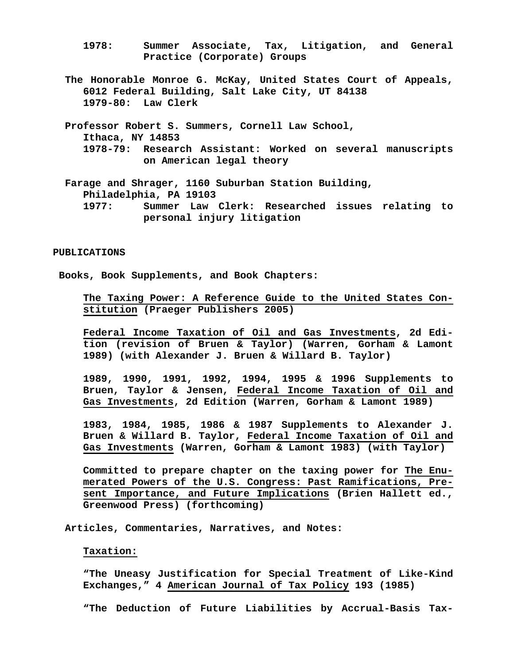- **1978: Summer Associate, Tax, Litigation, and General Practice (Corporate) Groups**
- **The Honorable Monroe G. McKay, United States Court of Appeals, 6012 Federal Building, Salt Lake City, UT 84138 1979-80: Law Clerk**
- **Professor Robert S. Summers, Cornell Law School, Ithaca, NY 14853 1978-79: Research Assistant: Worked on several manuscripts on American legal theory**

 **Farage and Shrager, 1160 Suburban Station Building, Philadelphia, PA 19103 1977: Summer Law Clerk: Researched issues relating to** 

**personal injury litigation**

#### **PUBLICATIONS**

**Books, Book Supplements, and Book Chapters:**

**The Taxing Power: A Reference Guide to the United States Constitution (Praeger Publishers 2005)**

**Federal Income Taxation of Oil and Gas Investments, 2d Edition (revision of Bruen & Taylor) (Warren, Gorham & Lamont 1989) (with Alexander J. Bruen & Willard B. Taylor)**

**1989, 1990, 1991, 1992, 1994, 1995 & 1996 Supplements to Bruen, Taylor & Jensen, Federal Income Taxation of Oil and Gas Investments, 2d Edition (Warren, Gorham & Lamont 1989)**

**1983, 1984, 1985, 1986 & 1987 Supplements to Alexander J. Bruen & Willard B. Taylor, Federal Income Taxation of Oil and Gas Investments (Warren, Gorham & Lamont 1983) (with Taylor)**

**Committed to prepare chapter on the taxing power for The Enumerated Powers of the U.S. Congress: Past Ramifications, Present Importance, and Future Implications (Brien Hallett ed., Greenwood Press) (forthcoming)**

 **Articles, Commentaries, Narratives, and Notes:**

## **Taxation:**

**"The Uneasy Justification for Special Treatment of Like-Kind Exchanges," 4 American Journal of Tax Policy 193 (1985)**

**"The Deduction of Future Liabilities by Accrual-Basis Tax-**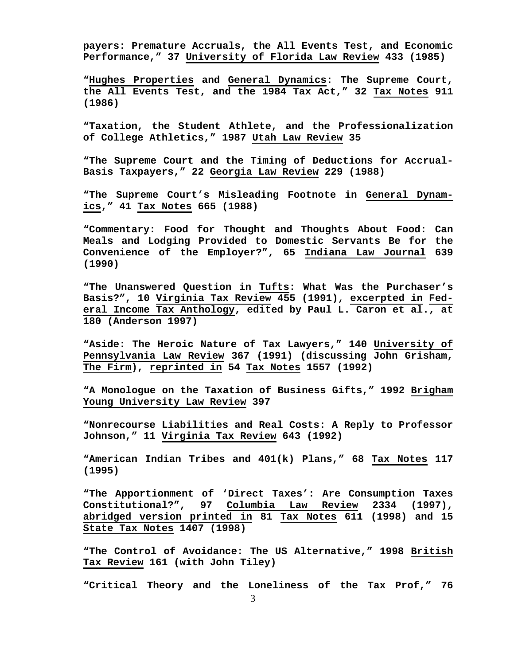**payers: Premature Accruals, the All Events Test, and Economic Performance," 37 University of Florida Law Review 433 (1985)**

**"Hughes Properties and General Dynamics: The Supreme Court, the All Events Test, and the 1984 Tax Act," 32 Tax Notes 911 (1986)**

**"Taxation, the Student Athlete, and the Professionalization of College Athletics," 1987 Utah Law Review 35**

**"The Supreme Court and the Timing of Deductions for Accrual-Basis Taxpayers," 22 Georgia Law Review 229 (1988)**

**"The Supreme Court's Misleading Footnote in General Dynamics," 41 Tax Notes 665 (1988)**

**"Commentary: Food for Thought and Thoughts About Food: Can Meals and Lodging Provided to Domestic Servants Be for the Convenience of the Employer?", 65 Indiana Law Journal 639 (1990)**

**"The Unanswered Question in Tufts: What Was the Purchaser's Basis?", 10 Virginia Tax Review 455 (1991), excerpted in Federal Income Tax Anthology, edited by Paul L. Caron et al., at 180 (Anderson 1997)**

**"Aside: The Heroic Nature of Tax Lawyers," 140 University of Pennsylvania Law Review 367 (1991) (discussing John Grisham, The Firm), reprinted in 54 Tax Notes 1557 (1992)**

**"A Monologue on the Taxation of Business Gifts," 1992 Brigham Young University Law Review 397**

**"Nonrecourse Liabilities and Real Costs: A Reply to Professor Johnson," 11 Virginia Tax Review 643 (1992)**

**"American Indian Tribes and 401(k) Plans," 68 Tax Notes 117 (1995)**

**"The Apportionment of 'Direct Taxes': Are Consumption Taxes Constitutional?", 97 Columbia Law Review 2334 (1997), abridged version printed in 81 Tax Notes 611 (1998) and 15 State Tax Notes 1407 (1998)**

**"The Control of Avoidance: The US Alternative," 1998 British Tax Review 161 (with John Tiley)**

**"Critical Theory and the Loneliness of the Tax Prof," 76**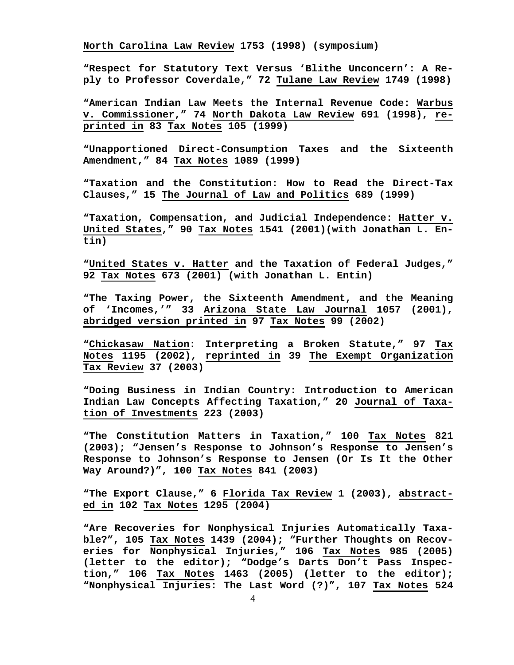**North Carolina Law Review 1753 (1998) (symposium)**

**"Respect for Statutory Text Versus 'Blithe Unconcern': A Reply to Professor Coverdale," 72 Tulane Law Review 1749 (1998)**

**"American Indian Law Meets the Internal Revenue Code: Warbus**  v. Commissioner," 74 North Dakota Law Review 691 (1998), re**printed in 83 Tax Notes 105 (1999)**

**"Unapportioned Direct-Consumption Taxes and the Sixteenth Amendment," 84 Tax Notes 1089 (1999)**

**"Taxation and the Constitution: How to Read the Direct-Tax Clauses," 15 The Journal of Law and Politics 689 (1999)**

**"Taxation, Compensation, and Judicial Independence: Hatter v. United States," 90 Tax Notes 1541 (2001)(with Jonathan L. Entin)**

**"United States v. Hatter and the Taxation of Federal Judges," 92 Tax Notes 673 (2001) (with Jonathan L. Entin)**

**"The Taxing Power, the Sixteenth Amendment, and the Meaning of 'Incomes,'" 33 Arizona State Law Journal 1057 (2001), abridged version printed in 97 Tax Notes 99 (2002)**

**"Chickasaw Nation: Interpreting a Broken Statute," 97 Tax Notes 1195 (2002), reprinted in 39 The Exempt Organization Tax Review 37 (2003)**

**"Doing Business in Indian Country: Introduction to American Indian Law Concepts Affecting Taxation," 20 Journal of Taxation of Investments 223 (2003)**

**"The Constitution Matters in Taxation," 100 Tax Notes 821 (2003); "Jensen's Response to Johnson's Response to Jensen's Response to Johnson's Response to Jensen (Or Is It the Other Way Around?)", 100 Tax Notes 841 (2003)**

**"The Export Clause," 6 Florida Tax Review 1 (2003), abstracted in 102 Tax Notes 1295 (2004)**

**"Are Recoveries for Nonphysical Injuries Automatically Taxable?", 105 Tax Notes 1439 (2004); "Further Thoughts on Recoveries for Nonphysical Injuries," 106 Tax Notes 985 (2005) (letter to the editor); "Dodge's Darts Don't Pass Inspection," 106 Tax Notes 1463 (2005) (letter to the editor); "Nonphysical Injuries: The Last Word (?)", 107 Tax Notes 524**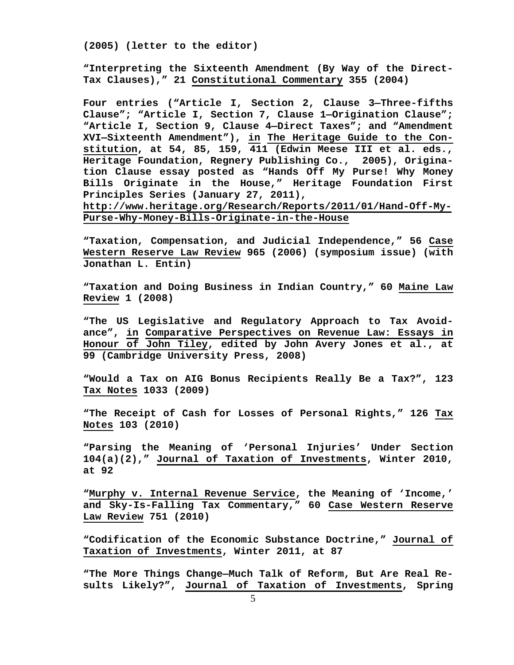**(2005) (letter to the editor)**

**"Interpreting the Sixteenth Amendment (By Way of the Direct-Tax Clauses)," 21 Constitutional Commentary 355 (2004)**

**Four entries ("Article I, Section 2, Clause 3—Three-fifths Clause"; "Article I, Section 7, Clause 1—Origination Clause"; "Article I, Section 9, Clause 4—Direct Taxes"; and "Amendment XVI—Sixteenth Amendment"), in The Heritage Guide to the Constitution, at 54, 85, 159, 411 (Edwin Meese III et al. eds., Heritage Foundation, Regnery Publishing Co., 2005), Origination Clause essay posted as "Hands Off My Purse! Why Money Bills Originate in the House," Heritage Foundation First Principles Series (January 27, 2011), [http://www.heritage.org/Research/Reports/2011/01/Hand-Off-My-](http://www.heritage.org/Research/Reports/2011/01/Hand-Off-My-Purse-Why-Money-Bills-Originate-in-the-House)**

**[Purse-Why-Money-Bills-Originate-in-the-House](http://www.heritage.org/Research/Reports/2011/01/Hand-Off-My-Purse-Why-Money-Bills-Originate-in-the-House)**

**"Taxation, Compensation, and Judicial Independence," 56 Case Western Reserve Law Review 965 (2006) (symposium issue) (with Jonathan L. Entin)**

**"Taxation and Doing Business in Indian Country," 60 Maine Law Review 1 (2008)**

**"The US Legislative and Regulatory Approach to Tax Avoidance", in Comparative Perspectives on Revenue Law: Essays in Honour of John Tiley, edited by John Avery Jones et al., at 99 (Cambridge University Press, 2008)**

**"Would a Tax on AIG Bonus Recipients Really Be a Tax?", 123 Tax Notes 1033 (2009)**

**"The Receipt of Cash for Losses of Personal Rights," 126 Tax Notes 103 (2010)**

**"Parsing the Meaning of 'Personal Injuries' Under Section 104(a)(2)," Journal of Taxation of Investments, Winter 2010, at 92**

**"Murphy v. Internal Revenue Service, the Meaning of 'Income,' and Sky-Is-Falling Tax Commentary," 60 Case Western Reserve Law Review 751 (2010)**

**"Codification of the Economic Substance Doctrine," Journal of Taxation of Investments, Winter 2011, at 87**

**"The More Things Change—Much Talk of Reform, But Are Real Results Likely?", Journal of Taxation of Investments, Spring**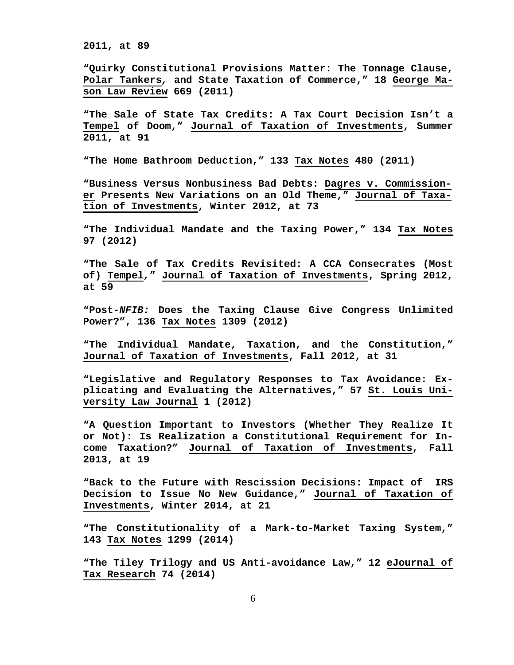**2011, at 89**

**"Quirky Constitutional Provisions Matter: The Tonnage Clause, Polar Tankers***,* **and State Taxation of Commerce," 18 George Mason Law Review 669 (2011)**

**"The Sale of State Tax Credits: A Tax Court Decision Isn't a Tempel of Doom," Journal of Taxation of Investments, Summer 2011, at 91**

**"The Home Bathroom Deduction," 133 Tax Notes 480 (2011)**

**"Business Versus Nonbusiness Bad Debts: Dagres v. Commissioner Presents New Variations on an Old Theme," Journal of Taxation of Investments, Winter 2012, at 73**

**"The Individual Mandate and the Taxing Power," 134 Tax Notes 97 (2012)**

**"The Sale of Tax Credits Revisited: A CCA Consecrates (Most of) Tempel***,***" Journal of Taxation of Investments, Spring 2012, at 59**

**"Post-***NFIB:* **Does the Taxing Clause Give Congress Unlimited Power?", 136 Tax Notes 1309 (2012)**

**"The Individual Mandate, Taxation, and the Constitution," Journal of Taxation of Investments, Fall 2012, at 31**

**"Legislative and Regulatory Responses to Tax Avoidance: Explicating and Evaluating the Alternatives," 57 St. Louis University Law Journal 1 (2012)**

**"A Question Important to Investors (Whether They Realize It or Not): Is Realization a Constitutional Requirement for Income Taxation?" Journal of Taxation of Investments, Fall 2013, at 19**

**"Back to the Future with Rescission Decisions: Impact of IRS Decision to Issue No New Guidance," Journal of Taxation of Investments, Winter 2014, at 21**

**"The Constitutionality of a Mark-to-Market Taxing System," 143 Tax Notes 1299 (2014)**

**"The Tiley Trilogy and US Anti-avoidance Law," 12 eJournal of Tax Research 74 (2014)**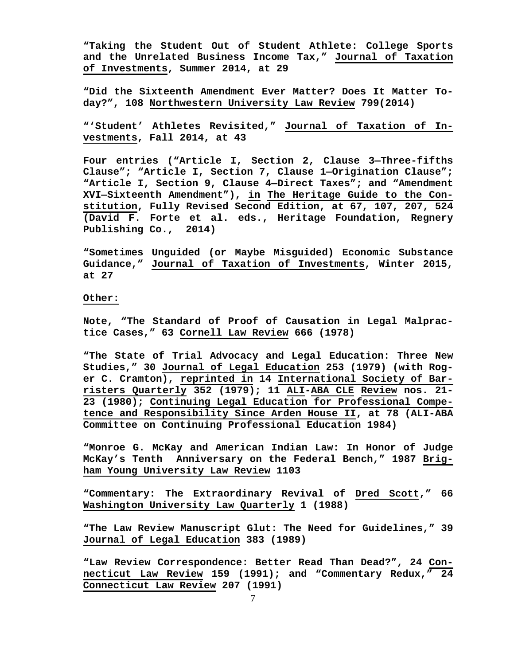**"Taking the Student Out of Student Athlete: College Sports and the Unrelated Business Income Tax," Journal of Taxation of Investments, Summer 2014, at 29**

**"Did the Sixteenth Amendment Ever Matter? Does It Matter Today?", 108 Northwestern University Law Review 799(2014)**

**"'Student' Athletes Revisited," Journal of Taxation of Investments, Fall 2014, at 43**

**Four entries ("Article I, Section 2, Clause 3—Three-fifths Clause"; "Article I, Section 7, Clause 1—Origination Clause"; "Article I, Section 9, Clause 4—Direct Taxes"; and "Amendment XVI—Sixteenth Amendment"), in The Heritage Guide to the Constitution, Fully Revised Second Edition, at 67, 107, 207, 524 (David F. Forte et al. eds., Heritage Foundation, Regnery Publishing Co., 2014)**

**"Sometimes Unguided (or Maybe Misguided) Economic Substance Guidance," Journal of Taxation of Investments, Winter 2015, at 27**

### **Other:**

**Note, "The Standard of Proof of Causation in Legal Malpractice Cases," 63 Cornell Law Review 666 (1978)**

**"The State of Trial Advocacy and Legal Education: Three New Studies," 30 Journal of Legal Education 253 (1979) (with Roger C. Cramton), reprinted in 14 International Society of Barristers Quarterly 352 (1979); 11 ALI-ABA CLE Review nos. 21- 23 (1980); Continuing Legal Education for Professional Competence and Responsibility Since Arden House II, at 78 (ALI-ABA Committee on Continuing Professional Education 1984)**

**"Monroe G. McKay and American Indian Law: In Honor of Judge McKay's Tenth Anniversary on the Federal Bench," 1987 Brigham Young University Law Review 1103**

**"Commentary: The Extraordinary Revival of Dred Scott," 66 Washington University Law Quarterly 1 (1988)**

**"The Law Review Manuscript Glut: The Need for Guidelines," 39 Journal of Legal Education 383 (1989)**

**"Law Review Correspondence: Better Read Than Dead?", 24 Connecticut Law Review 159 (1991); and "Commentary Redux," 24 Connecticut Law Review 207 (1991)**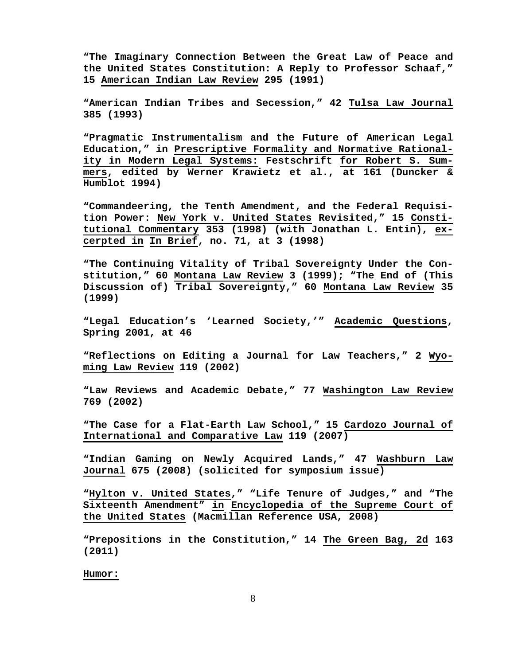**"The Imaginary Connection Between the Great Law of Peace and the United States Constitution: A Reply to Professor Schaaf," 15 American Indian Law Review 295 (1991)**

**"American Indian Tribes and Secession," 42 Tulsa Law Journal 385 (1993)**

**"Pragmatic Instrumentalism and the Future of American Legal Education," in Prescriptive Formality and Normative Rationality in Modern Legal Systems: Festschrift for Robert S. Summers, edited by Werner Krawietz et al., at 161 (Duncker & Humblot 1994)**

**"Commandeering, the Tenth Amendment, and the Federal Requisition Power: New York v. United States Revisited," 15 Constitutional Commentary 353 (1998) (with Jonathan L. Entin), excerpted in In Brief, no. 71, at 3 (1998)**

**"The Continuing Vitality of Tribal Sovereignty Under the Constitution," 60 Montana Law Review 3 (1999); "The End of (This Discussion of) Tribal Sovereignty," 60 Montana Law Review 35 (1999)**

**"Legal Education's 'Learned Society,'" Academic Questions, Spring 2001, at 46**

**"Reflections on Editing a Journal for Law Teachers," 2 Wyoming Law Review 119 (2002)**

**"Law Reviews and Academic Debate," 77 Washington Law Review 769 (2002)**

**"The Case for a Flat-Earth Law School," 15 Cardozo Journal of International and Comparative Law 119 (2007)**

**"Indian Gaming on Newly Acquired Lands," 47 Washburn Law Journal 675 (2008) (solicited for symposium issue)**

**"Hylton v. United States," "Life Tenure of Judges," and "The Sixteenth Amendment" in Encyclopedia of the Supreme Court of the United States (Macmillan Reference USA, 2008)**

**"Prepositions in the Constitution," 14 The Green Bag, 2d 163 (2011)**

**Humor:**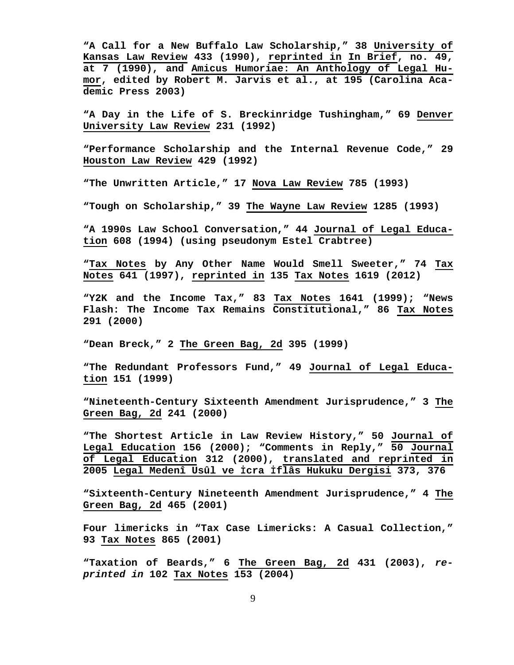**"A Call for a New Buffalo Law Scholarship," 38 University of Kansas Law Review 433 (1990), reprinted in In Brief, no. 49, at 7 (1990), and Amicus Humoriae: An Anthology of Legal Humor, edited by Robert M. Jarvis et al., at 195 (Carolina Academic Press 2003)**

**"A Day in the Life of S. Breckinridge Tushingham," 69 Denver University Law Review 231 (1992)**

**"Performance Scholarship and the Internal Revenue Code," 29 Houston Law Review 429 (1992)**

**"The Unwritten Article," 17 Nova Law Review 785 (1993)**

**"Tough on Scholarship," 39 The Wayne Law Review 1285 (1993)**

**"A 1990s Law School Conversation," 44 Journal of Legal Education 608 (1994) (using pseudonym Estel Crabtree)**

**"Tax Notes by Any Other Name Would Smell Sweeter," 74 Tax Notes 641 (1997), reprinted in 135 Tax Notes 1619 (2012)**

**"Y2K and the Income Tax," 83 Tax Notes 1641 (1999); "News Flash: The Income Tax Remains Constitutional," 86 Tax Notes 291 (2000)**

**"Dean Breck," 2 The Green Bag, 2d 395 (1999)**

**"The Redundant Professors Fund," 49 Journal of Legal Education 151 (1999)**

**"Nineteenth-Century Sixteenth Amendment Jurisprudence," 3 The Green Bag, 2d 241 (2000)**

**"The Shortest Article in Law Review History," 50 Journal of Legal Education 156 (2000); "Comments in Reply," 50 Journal of Legal Education 312 (2000), translated and reprinted in 2005 Legal Medenî Usûl ve İcra İflâs Hukuku Dergisi 373, 376**

**"Sixteenth-Century Nineteenth Amendment Jurisprudence," 4 The Green Bag, 2d 465 (2001)**

**Four limericks in "Tax Case Limericks: A Casual Collection," 93 Tax Notes 865 (2001)**

**"Taxation of Beards," 6 The Green Bag, 2d 431 (2003),** *reprinted in* **102 Tax Notes 153 (2004)**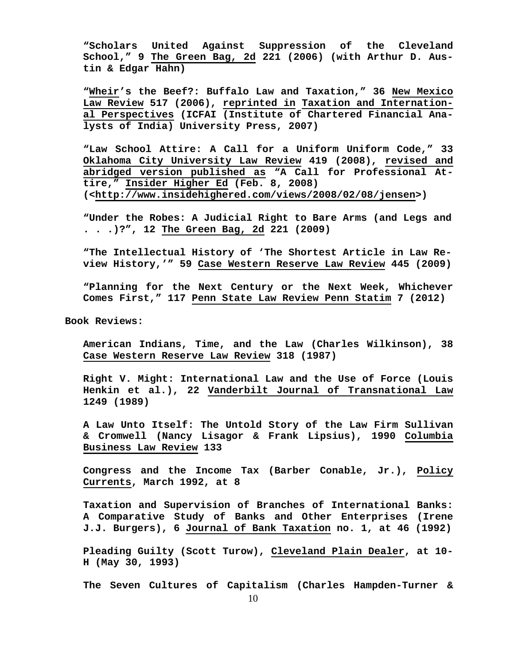**"Scholars United Against Suppression of the Cleveland School," 9 The Green Bag, 2d 221 (2006) (with Arthur D. Austin & Edgar Hahn)**

**"Wheir's the Beef?: Buffalo Law and Taxation," 36 New Mexico Law Review 517 (2006), reprinted in Taxation and International Perspectives (ICFAI (Institute of Chartered Financial Analysts of India) University Press, 2007)**

**"Law School Attire: A Call for a Uniform Uniform Code," 33 Oklahoma City University Law Review 419 (2008), revised and abridged version published as "A Call for Professional Attire," Insider Higher Ed (Feb. 8, 2008) (<http://www.insidehighered.com/views/2008/02/08/jensen>)**

**"Under the Robes: A Judicial Right to Bare Arms (and Legs and . . .)?", 12 The Green Bag, 2d 221 (2009)**

**"The Intellectual History of 'The Shortest Article in Law Review History,'" 59 Case Western Reserve Law Review 445 (2009)**

**"Planning for the Next Century or the Next Week, Whichever Comes First," 117 Penn State Law Review Penn Statim 7 (2012)**

 **Book Reviews:**

**American Indians, Time, and the Law (Charles Wilkinson), 38 Case Western Reserve Law Review 318 (1987)**

**Right V. Might: International Law and the Use of Force (Louis Henkin et al.), 22 Vanderbilt Journal of Transnational Law 1249 (1989)**

**A Law Unto Itself: The Untold Story of the Law Firm Sullivan & Cromwell (Nancy Lisagor & Frank Lipsius), 1990 Columbia Business Law Review 133**

**Congress and the Income Tax (Barber Conable, Jr.), Policy Currents, March 1992, at 8**

**Taxation and Supervision of Branches of International Banks: A Comparative Study of Banks and Other Enterprises (Irene J.J. Burgers), 6 Journal of Bank Taxation no. 1, at 46 (1992)**

**Pleading Guilty (Scott Turow), Cleveland Plain Dealer, at 10- H (May 30, 1993)**

**The Seven Cultures of Capitalism (Charles Hampden-Turner &**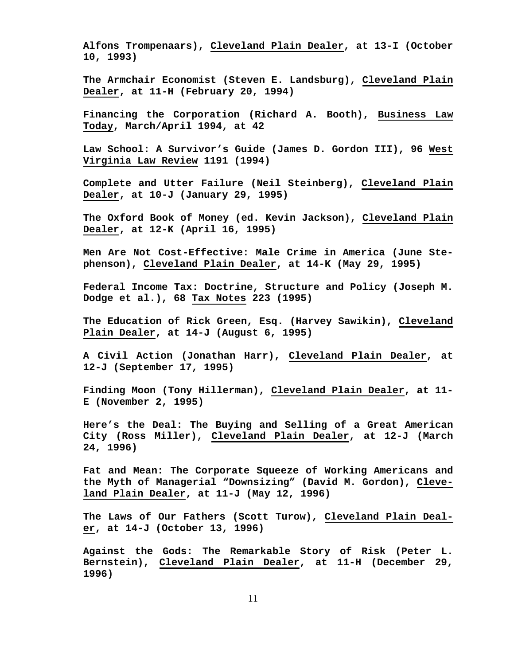**Alfons Trompenaars), Cleveland Plain Dealer, at 13-I (October 10, 1993)**

**The Armchair Economist (Steven E. Landsburg), Cleveland Plain Dealer, at 11-H (February 20, 1994)**

**Financing the Corporation (Richard A. Booth), Business Law Today, March/April 1994, at 42**

**Law School: A Survivor's Guide (James D. Gordon III), 96 West Virginia Law Review 1191 (1994)**

**Complete and Utter Failure (Neil Steinberg), Cleveland Plain Dealer, at 10-J (January 29, 1995)**

**The Oxford Book of Money (ed. Kevin Jackson), Cleveland Plain Dealer, at 12-K (April 16, 1995)**

**Men Are Not Cost-Effective: Male Crime in America (June Stephenson), Cleveland Plain Dealer, at 14-K (May 29, 1995)**

**Federal Income Tax: Doctrine, Structure and Policy (Joseph M. Dodge et al.), 68 Tax Notes 223 (1995)**

**The Education of Rick Green, Esq. (Harvey Sawikin), Cleveland Plain Dealer, at 14-J (August 6, 1995)**

**A Civil Action (Jonathan Harr), Cleveland Plain Dealer, at 12-J (September 17, 1995)**

**Finding Moon (Tony Hillerman), Cleveland Plain Dealer, at 11- E (November 2, 1995)**

**Here's the Deal: The Buying and Selling of a Great American City (Ross Miller), Cleveland Plain Dealer, at 12-J (March 24, 1996)**

**Fat and Mean: The Corporate Squeeze of Working Americans and the Myth of Managerial "Downsizing" (David M. Gordon), Cleveland Plain Dealer, at 11-J (May 12, 1996)**

**The Laws of Our Fathers (Scott Turow), Cleveland Plain Dealer, at 14-J (October 13, 1996)**

**Against the Gods: The Remarkable Story of Risk (Peter L. Bernstein), Cleveland Plain Dealer, at 11-H (December 29, 1996)**

11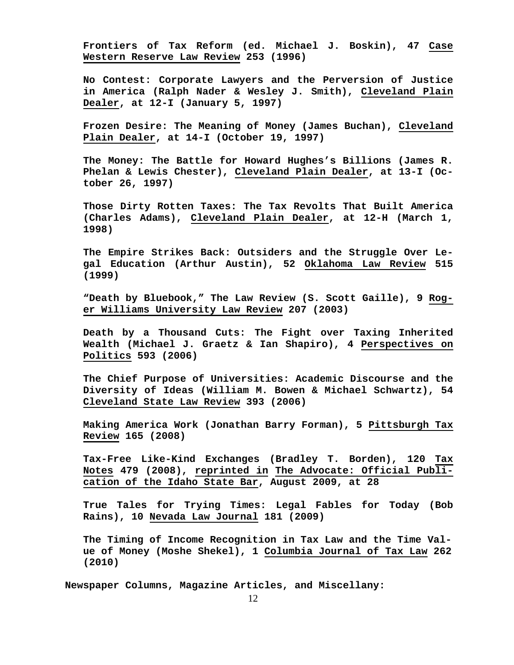**Frontiers of Tax Reform (ed. Michael J. Boskin), 47 Case Western Reserve Law Review 253 (1996)**

**No Contest: Corporate Lawyers and the Perversion of Justice in America (Ralph Nader & Wesley J. Smith), Cleveland Plain Dealer, at 12-I (January 5, 1997)**

**Frozen Desire: The Meaning of Money (James Buchan), Cleveland Plain Dealer, at 14-I (October 19, 1997)**

**The Money: The Battle for Howard Hughes's Billions (James R. Phelan & Lewis Chester), Cleveland Plain Dealer, at 13-I (October 26, 1997)**

**Those Dirty Rotten Taxes: The Tax Revolts That Built America (Charles Adams), Cleveland Plain Dealer, at 12-H (March 1, 1998)**

**The Empire Strikes Back: Outsiders and the Struggle Over Legal Education (Arthur Austin), 52 Oklahoma Law Review 515 (1999)**

**"Death by Bluebook," The Law Review (S. Scott Gaille), 9 Roger Williams University Law Review 207 (2003)**

**Death by a Thousand Cuts: The Fight over Taxing Inherited Wealth (Michael J. Graetz & Ian Shapiro), 4 Perspectives on Politics 593 (2006)**

**The Chief Purpose of Universities: Academic Discourse and the Diversity of Ideas (William M. Bowen & Michael Schwartz), 54 Cleveland State Law Review 393 (2006)**

**Making America Work (Jonathan Barry Forman), 5 Pittsburgh Tax Review 165 (2008)**

**Tax-Free Like-Kind Exchanges (Bradley T. Borden), 120 Tax Notes 479 (2008), reprinted in The Advocate: Official Publication of the Idaho State Bar, August 2009, at 28** 

**True Tales for Trying Times: Legal Fables for Today (Bob Rains), 10 Nevada Law Journal 181 (2009)**

**The Timing of Income Recognition in Tax Law and the Time Value of Money (Moshe Shekel), 1 Columbia Journal of Tax Law 262 (2010)**

 **Newspaper Columns, Magazine Articles, and Miscellany:**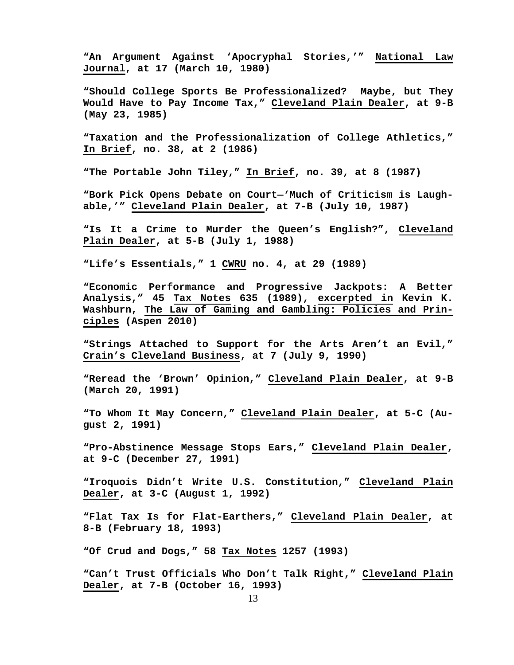**"An Argument Against 'Apocryphal Stories,'" National Law Journal, at 17 (March 10, 1980)**

**"Should College Sports Be Professionalized? Maybe, but They Would Have to Pay Income Tax," Cleveland Plain Dealer, at 9-B (May 23, 1985)**

**"Taxation and the Professionalization of College Athletics," In Brief, no. 38, at 2 (1986)**

**"The Portable John Tiley," In Brief, no. 39, at 8 (1987)**

**"Bork Pick Opens Debate on Court—'Much of Criticism is Laughable,'" Cleveland Plain Dealer, at 7-B (July 10, 1987)**

**"Is It a Crime to Murder the Queen's English?", Cleveland Plain Dealer, at 5-B (July 1, 1988)**

**"Life's Essentials," 1 CWRU no. 4, at 29 (1989)**

**"Economic Performance and Progressive Jackpots: A Better Analysis," 45 Tax Notes 635 (1989), excerpted in Kevin K. Washburn, The Law of Gaming and Gambling: Policies and Principles (Aspen 2010)**

**"Strings Attached to Support for the Arts Aren't an Evil," Crain's Cleveland Business, at 7 (July 9, 1990)**

**"Reread the 'Brown' Opinion," Cleveland Plain Dealer, at 9-B (March 20, 1991)**

**"To Whom It May Concern," Cleveland Plain Dealer, at 5-C (August 2, 1991)**

**"Pro-Abstinence Message Stops Ears," Cleveland Plain Dealer, at 9-C (December 27, 1991)**

**"Iroquois Didn't Write U.S. Constitution," Cleveland Plain Dealer, at 3-C (August 1, 1992)**

**"Flat Tax Is for Flat-Earthers," Cleveland Plain Dealer, at 8-B (February 18, 1993)**

**"Of Crud and Dogs," 58 Tax Notes 1257 (1993)**

**"Can't Trust Officials Who Don't Talk Right," Cleveland Plain Dealer, at 7-B (October 16, 1993)**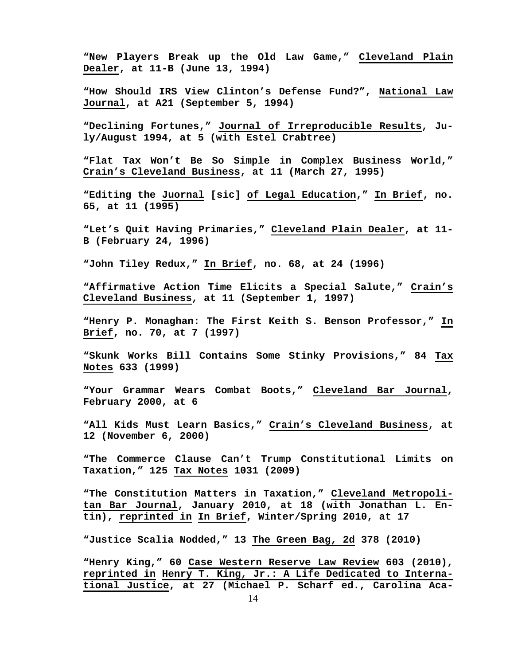**"New Players Break up the Old Law Game," Cleveland Plain Dealer, at 11-B (June 13, 1994)**

**"How Should IRS View Clinton's Defense Fund?", National Law Journal, at A21 (September 5, 1994)**

**"Declining Fortunes," Journal of Irreproducible Results, July/August 1994, at 5 (with Estel Crabtree)**

**"Flat Tax Won't Be So Simple in Complex Business World," Crain's Cleveland Business, at 11 (March 27, 1995)**

**"Editing the Juornal [sic] of Legal Education," In Brief, no. 65, at 11 (1995)**

**"Let's Quit Having Primaries," Cleveland Plain Dealer, at 11- B (February 24, 1996)**

**"John Tiley Redux," In Brief, no. 68, at 24 (1996)**

**"Affirmative Action Time Elicits a Special Salute," Crain's Cleveland Business, at 11 (September 1, 1997)**

**"Henry P. Monaghan: The First Keith S. Benson Professor," In Brief, no. 70, at 7 (1997)**

**"Skunk Works Bill Contains Some Stinky Provisions," 84 Tax Notes 633 (1999)**

**"Your Grammar Wears Combat Boots," Cleveland Bar Journal, February 2000, at 6**

**"All Kids Must Learn Basics," Crain's Cleveland Business, at 12 (November 6, 2000)**

**"The Commerce Clause Can't Trump Constitutional Limits on Taxation," 125 Tax Notes 1031 (2009)**

**"The Constitution Matters in Taxation," Cleveland Metropolitan Bar Journal, January 2010, at 18 (with Jonathan L. Entin), reprinted in In Brief, Winter/Spring 2010, at 17**

**"Justice Scalia Nodded," 13 The Green Bag, 2d 378 (2010)**

**"Henry King," 60 Case Western Reserve Law Review 603 (2010), reprinted in Henry T. King, Jr.: A Life Dedicated to International Justice, at 27 (Michael P. Scharf ed., Carolina Aca-**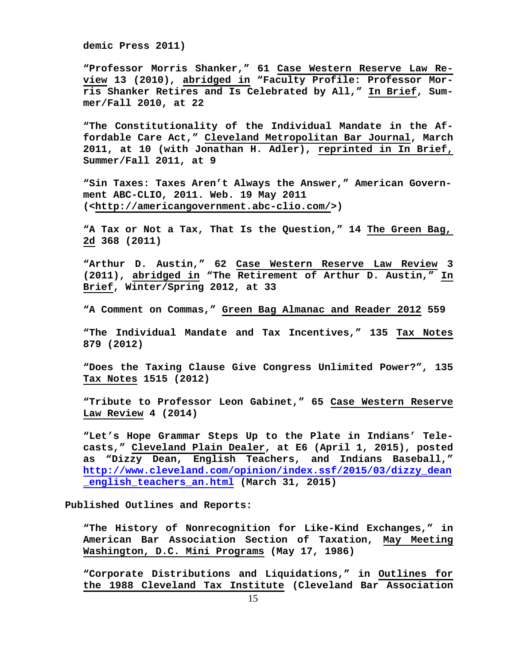**demic Press 2011)**

**"Professor Morris Shanker," 61 Case Western Reserve Law Review 13 (2010), abridged in "Faculty Profile: Professor Morris Shanker Retires and Is Celebrated by All," In Brief, Summer/Fall 2010, at 22**

**"The Constitutionality of the Individual Mandate in the Affordable Care Act," Cleveland Metropolitan Bar Journal, March 2011, at 10 (with Jonathan H. Adler), reprinted in In Brief, Summer/Fall 2011, at 9**

**"Sin Taxes: Taxes Aren't Always the Answer," American Government ABC-CLIO, 2011. Web. 19 May 2011 ([<http://americangovernment.abc-clio.com/>](http://american/))**

**"A Tax or Not a Tax, That Is the Question," 14 The Green Bag, 2d 368 (2011)**

**"Arthur D. Austin," 62 Case Western Reserve Law Review 3 (2011), abridged in "The Retirement of Arthur D. Austin," In Brief, Winter/Spring 2012, at 33**

**"A Comment on Commas," Green Bag Almanac and Reader 2012 559**

**"The Individual Mandate and Tax Incentives," 135 Tax Notes 879 (2012)**

**"Does the Taxing Clause Give Congress Unlimited Power?", 135 Tax Notes 1515 (2012)**

**"Tribute to Professor Leon Gabinet," 65 Case Western Reserve Law Review 4 (2014)**

**"Let's Hope Grammar Steps Up to the Plate in Indians' Telecasts," Cleveland Plain Dealer, at E6 (April 1, 2015), posted as "Dizzy Dean, English Teachers, and Indians Baseball," [http://www.cleveland.com/opinion/index.ssf/2015/03/dizzy\\_dean](http://www.cleveland.com/opinion/index.ssf/2015/03/dizzy_dean_english_teachers_an.html) [\\_english\\_teachers\\_an.html](http://www.cleveland.com/opinion/index.ssf/2015/03/dizzy_dean_english_teachers_an.html) (March 31, 2015)**

 **Published Outlines and Reports:**

**"The History of Nonrecognition for Like-Kind Exchanges," in American Bar Association Section of Taxation, May Meeting Washington, D.C. Mini Programs (May 17, 1986)**

**"Corporate Distributions and Liquidations," in Outlines for the 1988 Cleveland Tax Institute (Cleveland Bar Association**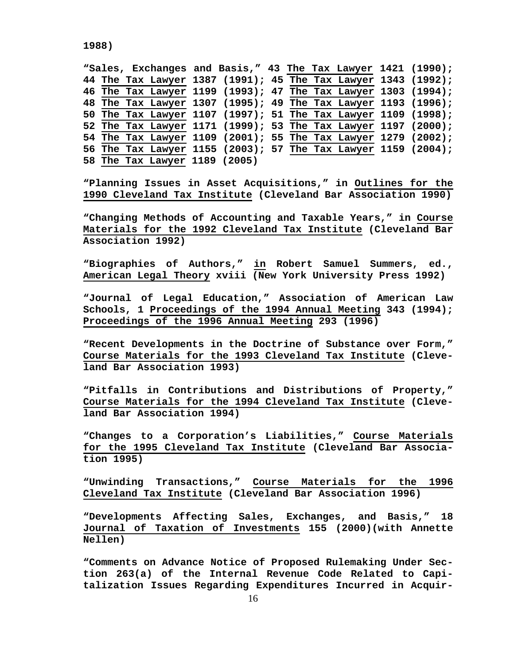```
1988)
```
**"Sales, Exchanges and Basis," 43 The Tax Lawyer 1421 (1990); 44 The Tax Lawyer 1387 (1991); 45 The Tax Lawyer 1343 (1992); 46 The Tax Lawyer 1199 (1993); 47 The Tax Lawyer 1303 (1994); 48 The Tax Lawyer 1307 (1995); 49 The Tax Lawyer 1193 (1996); 50 The Tax Lawyer 1107 (1997); 51 The Tax Lawyer 1109 (1998); 52 The Tax Lawyer 1171 (1999); 53 The Tax Lawyer 1197 (2000); 54 The Tax Lawyer 1109 (2001); 55 The Tax Lawyer 1279 (2002); 56 The Tax Lawyer 1155 (2003); 57 The Tax Lawyer 1159 (2004); 58 The Tax Lawyer 1189 (2005)**

**"Planning Issues in Asset Acquisitions," in Outlines for the 1990 Cleveland Tax Institute (Cleveland Bar Association 1990)**

**"Changing Methods of Accounting and Taxable Years," in Course Materials for the 1992 Cleveland Tax Institute (Cleveland Bar Association 1992)**

**"Biographies of Authors," in Robert Samuel Summers, ed., American Legal Theory xviii (New York University Press 1992)**

**"Journal of Legal Education," Association of American Law Schools, 1 Proceedings of the 1994 Annual Meeting 343 (1994); Proceedings of the 1996 Annual Meeting 293 (1996)**

**"Recent Developments in the Doctrine of Substance over Form," Course Materials for the 1993 Cleveland Tax Institute (Cleveland Bar Association 1993)**

**"Pitfalls in Contributions and Distributions of Property," Course Materials for the 1994 Cleveland Tax Institute (Cleveland Bar Association 1994)**

**"Changes to a Corporation's Liabilities," Course Materials for the 1995 Cleveland Tax Institute (Cleveland Bar Association 1995)**

**"Unwinding Transactions," Course Materials for the 1996 Cleveland Tax Institute (Cleveland Bar Association 1996)**

**"Developments Affecting Sales, Exchanges, and Basis," 18 Journal of Taxation of Investments 155 (2000)(with Annette Nellen)**

**"Comments on Advance Notice of Proposed Rulemaking Under Section 263(a) of the Internal Revenue Code Related to Capitalization Issues Regarding Expenditures Incurred in Acquir-**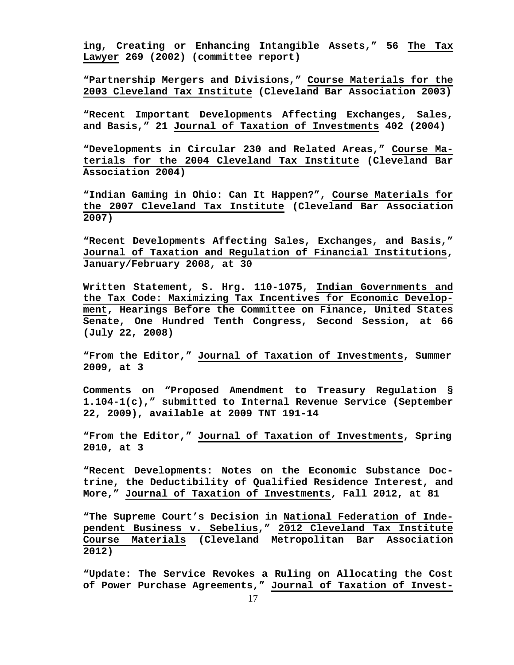**ing, Creating or Enhancing Intangible Assets," 56 The Tax Lawyer 269 (2002) (committee report)**

**"Partnership Mergers and Divisions," Course Materials for the 2003 Cleveland Tax Institute (Cleveland Bar Association 2003)**

**"Recent Important Developments Affecting Exchanges, Sales, and Basis," 21 Journal of Taxation of Investments 402 (2004)**

**"Developments in Circular 230 and Related Areas," Course Materials for the 2004 Cleveland Tax Institute (Cleveland Bar Association 2004)**

**"Indian Gaming in Ohio: Can It Happen?", Course Materials for the 2007 Cleveland Tax Institute (Cleveland Bar Association 2007)**

**"Recent Developments Affecting Sales, Exchanges, and Basis," Journal of Taxation and Regulation of Financial Institutions, January/February 2008, at 30**

**Written Statement, S. Hrg. 110-1075, Indian Governments and the Tax Code: Maximizing Tax Incentives for Economic Development, Hearings Before the Committee on Finance, United States Senate, One Hundred Tenth Congress, Second Session, at 66 (July 22, 2008)**

**"From the Editor," Journal of Taxation of Investments, Summer 2009, at 3**

**Comments on "Proposed Amendment to Treasury Regulation § 1.104-1(c)," submitted to Internal Revenue Service (September 22, 2009), available at 2009 TNT 191-14**

**"From the Editor," Journal of Taxation of Investments, Spring 2010, at 3**

**"Recent Developments: Notes on the Economic Substance Doctrine, the Deductibility of Qualified Residence Interest, and More," Journal of Taxation of Investments, Fall 2012, at 81**

**"The Supreme Court's Decision in National Federation of Independent Business v. Sebelius," 2012 Cleveland Tax Institute Course Materials (Cleveland Metropolitan Bar Association 2012)**

**"Update: The Service Revokes a Ruling on Allocating the Cost of Power Purchase Agreements," Journal of Taxation of Invest-**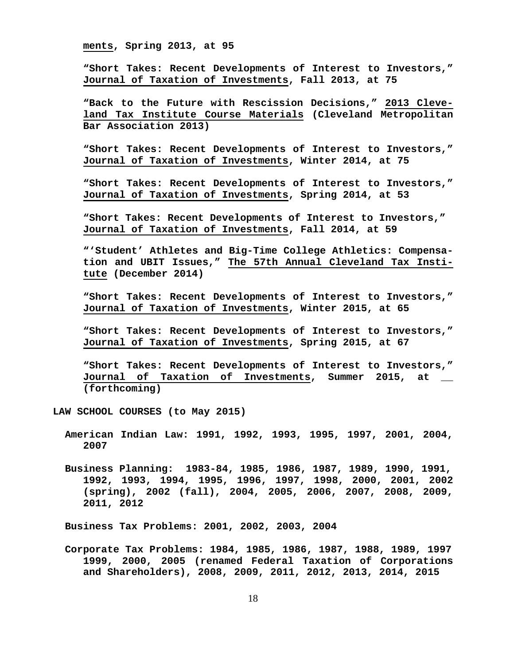**ments, Spring 2013, at 95**

**"Short Takes: Recent Developments of Interest to Investors," Journal of Taxation of Investments, Fall 2013, at 75**

**"Back to the Future with Rescission Decisions," 2013 Cleveland Tax Institute Course Materials (Cleveland Metropolitan Bar Association 2013)**

**"Short Takes: Recent Developments of Interest to Investors," Journal of Taxation of Investments, Winter 2014, at 75**

**"Short Takes: Recent Developments of Interest to Investors," Journal of Taxation of Investments, Spring 2014, at 53**

**"Short Takes: Recent Developments of Interest to Investors," Journal of Taxation of Investments, Fall 2014, at 59**

**"'Student' Athletes and Big-Time College Athletics: Compensation and UBIT Issues," The 57th Annual Cleveland Tax Institute (December 2014)**

**"Short Takes: Recent Developments of Interest to Investors," Journal of Taxation of Investments, Winter 2015, at 65**

**"Short Takes: Recent Developments of Interest to Investors," Journal of Taxation of Investments, Spring 2015, at 67**

**"Short Takes: Recent Developments of Interest to Investors," Journal of Taxation of Investments, Summer 2015, at \_\_ (forthcoming)**

**LAW SCHOOL COURSES (to May 2015)**

- **American Indian Law: 1991, 1992, 1993, 1995, 1997, 2001, 2004, 2007**
- **Business Planning: 1983-84, 1985, 1986, 1987, 1989, 1990, 1991, 1992, 1993, 1994, 1995, 1996, 1997, 1998, 2000, 2001, 2002 (spring), 2002 (fall), 2004, 2005, 2006, 2007, 2008, 2009, 2011, 2012**

 **Business Tax Problems: 2001, 2002, 2003, 2004**

 **Corporate Tax Problems: 1984, 1985, 1986, 1987, 1988, 1989, 1997 1999, 2000, 2005 (renamed Federal Taxation of Corporations and Shareholders), 2008, 2009, 2011, 2012, 2013, 2014, 2015**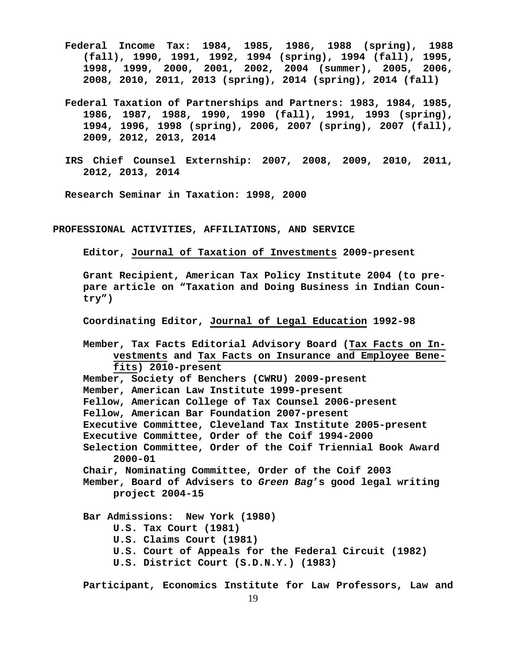- **Federal Income Tax: 1984, 1985, 1986, 1988 (spring), 1988 (fall), 1990, 1991, 1992, 1994 (spring), 1994 (fall), 1995, 1998, 1999, 2000, 2001, 2002, 2004 (summer), 2005, 2006, 2008, 2010, 2011, 2013 (spring), 2014 (spring), 2014 (fall)**
- **Federal Taxation of Partnerships and Partners: 1983, 1984, 1985, 1986, 1987, 1988, 1990, 1990 (fall), 1991, 1993 (spring), 1994, 1996, 1998 (spring), 2006, 2007 (spring), 2007 (fall), 2009, 2012, 2013, 2014**
- **IRS Chief Counsel Externship: 2007, 2008, 2009, 2010, 2011, 2012, 2013, 2014**

 **Research Seminar in Taxation: 1998, 2000**

**PROFESSIONAL ACTIVITIES, AFFILIATIONS, AND SERVICE**

**Editor, Journal of Taxation of Investments 2009-present**

**Grant Recipient, American Tax Policy Institute 2004 (to prepare article on "Taxation and Doing Business in Indian Country")**

**Coordinating Editor, Journal of Legal Education 1992-98**

**Member, Tax Facts Editorial Advisory Board (Tax Facts on Investments and Tax Facts on Insurance and Employee Benefits) 2010-present Member, Society of Benchers (CWRU) 2009-present Member, American Law Institute 1999-present Fellow, American College of Tax Counsel 2006-present Fellow, American Bar Foundation 2007-present Executive Committee, Cleveland Tax Institute 2005-present Executive Committee, Order of the Coif 1994-2000 Selection Committee, Order of the Coif Triennial Book Award 2000-01 Chair, Nominating Committee, Order of the Coif 2003 Member, Board of Advisers to** *Green Bag***'s good legal writing project 2004-15 Bar Admissions: New York (1980) U.S. Tax Court (1981) U.S. Claims Court (1981)**

- **U.S. Court of Appeals for the Federal Circuit (1982)**
- **U.S. District Court (S.D.N.Y.) (1983)**

**Participant, Economics Institute for Law Professors, Law and**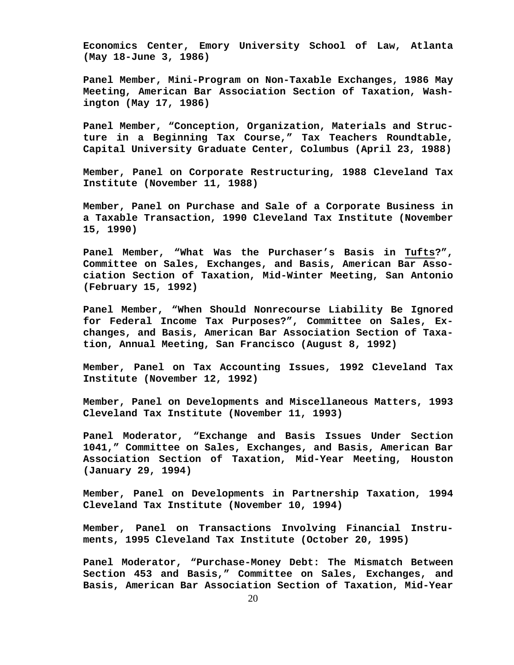**Economics Center, Emory University School of Law, Atlanta (May 18-June 3, 1986)**

**Panel Member, Mini-Program on Non-Taxable Exchanges, 1986 May Meeting, American Bar Association Section of Taxation, Washington (May 17, 1986)**

**Panel Member, "Conception, Organization, Materials and Structure in a Beginning Tax Course," Tax Teachers Roundtable, Capital University Graduate Center, Columbus (April 23, 1988)**

**Member, Panel on Corporate Restructuring, 1988 Cleveland Tax Institute (November 11, 1988)**

**Member, Panel on Purchase and Sale of a Corporate Business in a Taxable Transaction, 1990 Cleveland Tax Institute (November 15, 1990)**

**Panel Member, "What Was the Purchaser's Basis in Tufts?", Committee on Sales, Exchanges, and Basis, American Bar Association Section of Taxation, Mid-Winter Meeting, San Antonio (February 15, 1992)**

**Panel Member, "When Should Nonrecourse Liability Be Ignored for Federal Income Tax Purposes?", Committee on Sales, Exchanges, and Basis, American Bar Association Section of Taxation, Annual Meeting, San Francisco (August 8, 1992)**

**Member, Panel on Tax Accounting Issues, 1992 Cleveland Tax Institute (November 12, 1992)**

**Member, Panel on Developments and Miscellaneous Matters, 1993 Cleveland Tax Institute (November 11, 1993)**

**Panel Moderator, "Exchange and Basis Issues Under Section 1041," Committee on Sales, Exchanges, and Basis, American Bar Association Section of Taxation, Mid-Year Meeting, Houston (January 29, 1994)**

**Member, Panel on Developments in Partnership Taxation, 1994 Cleveland Tax Institute (November 10, 1994)**

**Member, Panel on Transactions Involving Financial Instruments, 1995 Cleveland Tax Institute (October 20, 1995)**

**Panel Moderator, "Purchase-Money Debt: The Mismatch Between Section 453 and Basis," Committee on Sales, Exchanges, and Basis, American Bar Association Section of Taxation, Mid-Year**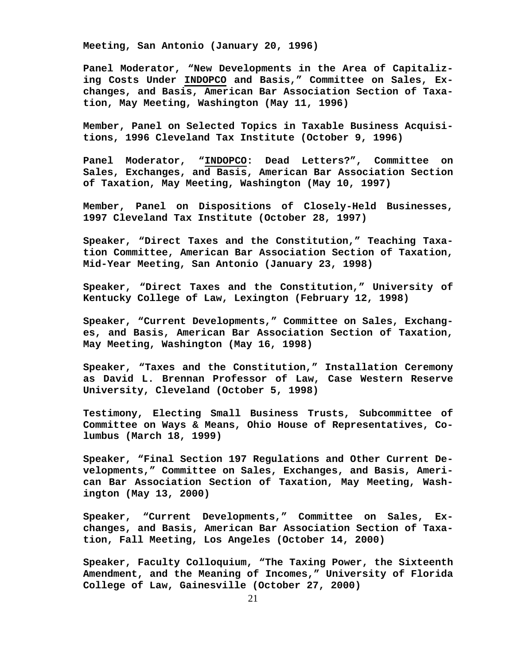**Meeting, San Antonio (January 20, 1996)**

**Panel Moderator, "New Developments in the Area of Capitalizing Costs Under INDOPCO and Basis," Committee on Sales, Exchanges, and Basis, American Bar Association Section of Taxation, May Meeting, Washington (May 11, 1996)**

**Member, Panel on Selected Topics in Taxable Business Acquisitions, 1996 Cleveland Tax Institute (October 9, 1996)**

**Panel Moderator, "INDOPCO: Dead Letters?", Committee on Sales, Exchanges, and Basis, American Bar Association Section of Taxation, May Meeting, Washington (May 10, 1997)**

**Member, Panel on Dispositions of Closely-Held Businesses, 1997 Cleveland Tax Institute (October 28, 1997)**

**Speaker, "Direct Taxes and the Constitution," Teaching Taxation Committee, American Bar Association Section of Taxation, Mid-Year Meeting, San Antonio (January 23, 1998)**

**Speaker, "Direct Taxes and the Constitution," University of Kentucky College of Law, Lexington (February 12, 1998)**

**Speaker, "Current Developments," Committee on Sales, Exchanges, and Basis, American Bar Association Section of Taxation, May Meeting, Washington (May 16, 1998)**

**Speaker, "Taxes and the Constitution," Installation Ceremony as David L. Brennan Professor of Law, Case Western Reserve University, Cleveland (October 5, 1998)**

**Testimony, Electing Small Business Trusts, Subcommittee of Committee on Ways & Means, Ohio House of Representatives, Columbus (March 18, 1999)**

**Speaker, "Final Section 197 Regulations and Other Current Developments," Committee on Sales, Exchanges, and Basis, American Bar Association Section of Taxation, May Meeting, Washington (May 13, 2000)**

**Speaker, "Current Developments," Committee on Sales, Exchanges, and Basis, American Bar Association Section of Taxation, Fall Meeting, Los Angeles (October 14, 2000)**

**Speaker, Faculty Colloquium, "The Taxing Power, the Sixteenth Amendment, and the Meaning of Incomes," University of Florida College of Law, Gainesville (October 27, 2000)**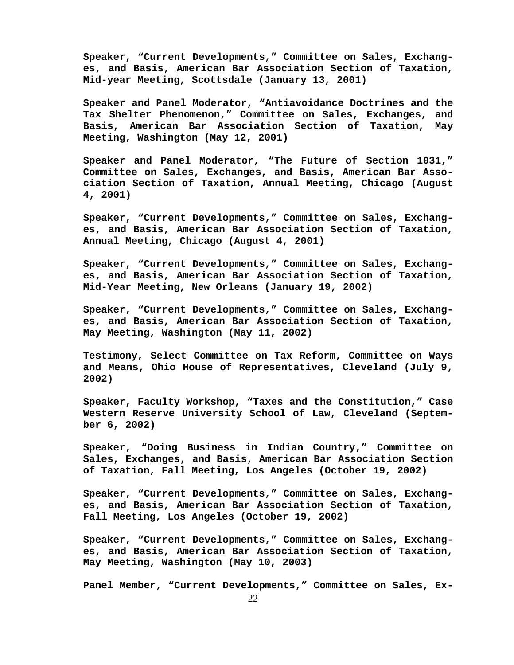**Speaker, "Current Developments," Committee on Sales, Exchanges, and Basis, American Bar Association Section of Taxation, Mid-year Meeting, Scottsdale (January 13, 2001)**

**Speaker and Panel Moderator, "Antiavoidance Doctrines and the Tax Shelter Phenomenon," Committee on Sales, Exchanges, and Basis, American Bar Association Section of Taxation, May Meeting, Washington (May 12, 2001)**

**Speaker and Panel Moderator, "The Future of Section 1031," Committee on Sales, Exchanges, and Basis, American Bar Association Section of Taxation, Annual Meeting, Chicago (August 4, 2001)**

**Speaker, "Current Developments," Committee on Sales, Exchanges, and Basis, American Bar Association Section of Taxation, Annual Meeting, Chicago (August 4, 2001)**

**Speaker, "Current Developments," Committee on Sales, Exchanges, and Basis, American Bar Association Section of Taxation, Mid-Year Meeting, New Orleans (January 19, 2002)**

**Speaker, "Current Developments," Committee on Sales, Exchanges, and Basis, American Bar Association Section of Taxation, May Meeting, Washington (May 11, 2002)**

**Testimony, Select Committee on Tax Reform, Committee on Ways and Means, Ohio House of Representatives, Cleveland (July 9, 2002)**

**Speaker, Faculty Workshop, "Taxes and the Constitution," Case Western Reserve University School of Law, Cleveland (September 6, 2002)**

**Speaker, "Doing Business in Indian Country," Committee on Sales, Exchanges, and Basis, American Bar Association Section of Taxation, Fall Meeting, Los Angeles (October 19, 2002)**

**Speaker, "Current Developments," Committee on Sales, Exchanges, and Basis, American Bar Association Section of Taxation, Fall Meeting, Los Angeles (October 19, 2002)**

**Speaker, "Current Developments," Committee on Sales, Exchanges, and Basis, American Bar Association Section of Taxation, May Meeting, Washington (May 10, 2003)**

**Panel Member, "Current Developments," Committee on Sales, Ex-**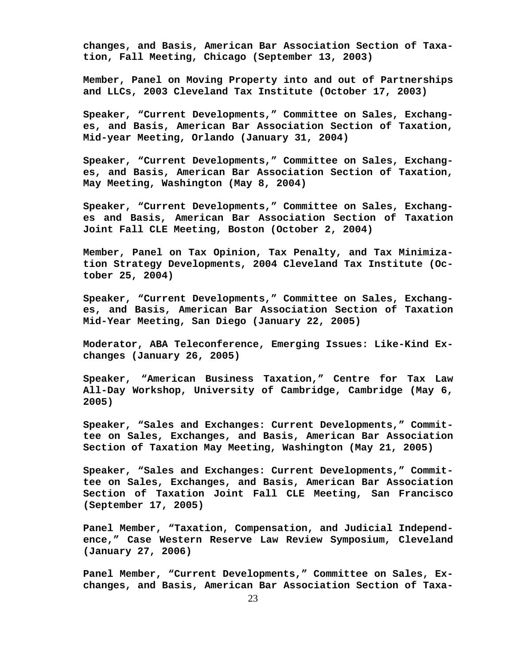**changes, and Basis, American Bar Association Section of Taxation, Fall Meeting, Chicago (September 13, 2003)**

**Member, Panel on Moving Property into and out of Partnerships and LLCs, 2003 Cleveland Tax Institute (October 17, 2003)**

**Speaker, "Current Developments," Committee on Sales, Exchanges, and Basis, American Bar Association Section of Taxation, Mid-year Meeting, Orlando (January 31, 2004)**

**Speaker, "Current Developments," Committee on Sales, Exchanges, and Basis, American Bar Association Section of Taxation, May Meeting, Washington (May 8, 2004)**

**Speaker, "Current Developments," Committee on Sales, Exchanges and Basis, American Bar Association Section of Taxation Joint Fall CLE Meeting, Boston (October 2, 2004)**

**Member, Panel on Tax Opinion, Tax Penalty, and Tax Minimization Strategy Developments, 2004 Cleveland Tax Institute (October 25, 2004)**

**Speaker, "Current Developments," Committee on Sales, Exchanges, and Basis, American Bar Association Section of Taxation Mid-Year Meeting, San Diego (January 22, 2005)**

**Moderator, ABA Teleconference, Emerging Issues: Like-Kind Exchanges (January 26, 2005)**

**Speaker, "American Business Taxation," Centre for Tax Law All-Day Workshop, University of Cambridge, Cambridge (May 6, 2005)**

**Speaker, "Sales and Exchanges: Current Developments," Committee on Sales, Exchanges, and Basis, American Bar Association Section of Taxation May Meeting, Washington (May 21, 2005)**

**Speaker, "Sales and Exchanges: Current Developments," Committee on Sales, Exchanges, and Basis, American Bar Association Section of Taxation Joint Fall CLE Meeting, San Francisco (September 17, 2005)**

**Panel Member, "Taxation, Compensation, and Judicial Independence," Case Western Reserve Law Review Symposium, Cleveland (January 27, 2006)**

**Panel Member, "Current Developments," Committee on Sales, Exchanges, and Basis, American Bar Association Section of Taxa-**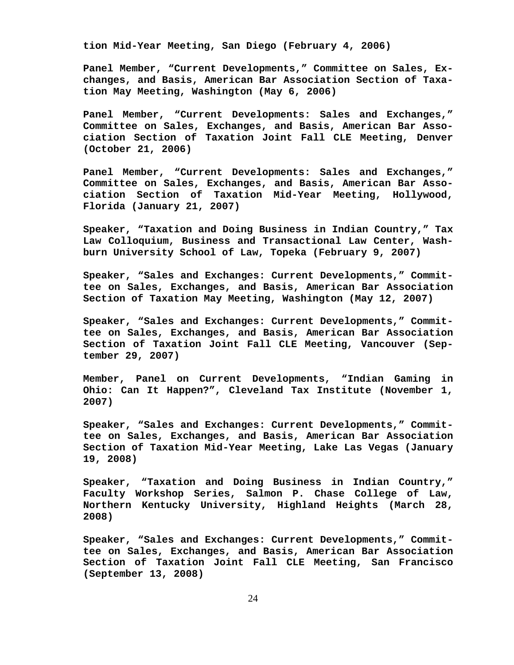**tion Mid-Year Meeting, San Diego (February 4, 2006)**

**Panel Member, "Current Developments," Committee on Sales, Exchanges, and Basis, American Bar Association Section of Taxation May Meeting, Washington (May 6, 2006)**

**Panel Member, "Current Developments: Sales and Exchanges," Committee on Sales, Exchanges, and Basis, American Bar Association Section of Taxation Joint Fall CLE Meeting, Denver (October 21, 2006)**

**Panel Member, "Current Developments: Sales and Exchanges," Committee on Sales, Exchanges, and Basis, American Bar Association Section of Taxation Mid-Year Meeting, Hollywood, Florida (January 21, 2007)**

**Speaker, "Taxation and Doing Business in Indian Country," Tax Law Colloquium, Business and Transactional Law Center, Washburn University School of Law, Topeka (February 9, 2007)**

**Speaker, "Sales and Exchanges: Current Developments," Committee on Sales, Exchanges, and Basis, American Bar Association Section of Taxation May Meeting, Washington (May 12, 2007)**

**Speaker, "Sales and Exchanges: Current Developments," Committee on Sales, Exchanges, and Basis, American Bar Association Section of Taxation Joint Fall CLE Meeting, Vancouver (September 29, 2007)**

**Member, Panel on Current Developments, "Indian Gaming in Ohio: Can It Happen?", Cleveland Tax Institute (November 1, 2007)**

**Speaker, "Sales and Exchanges: Current Developments," Committee on Sales, Exchanges, and Basis, American Bar Association Section of Taxation Mid-Year Meeting, Lake Las Vegas (January 19, 2008)**

**Speaker, "Taxation and Doing Business in Indian Country," Faculty Workshop Series, Salmon P. Chase College of Law, Northern Kentucky University, Highland Heights (March 28, 2008)**

**Speaker, "Sales and Exchanges: Current Developments," Committee on Sales, Exchanges, and Basis, American Bar Association Section of Taxation Joint Fall CLE Meeting, San Francisco (September 13, 2008)**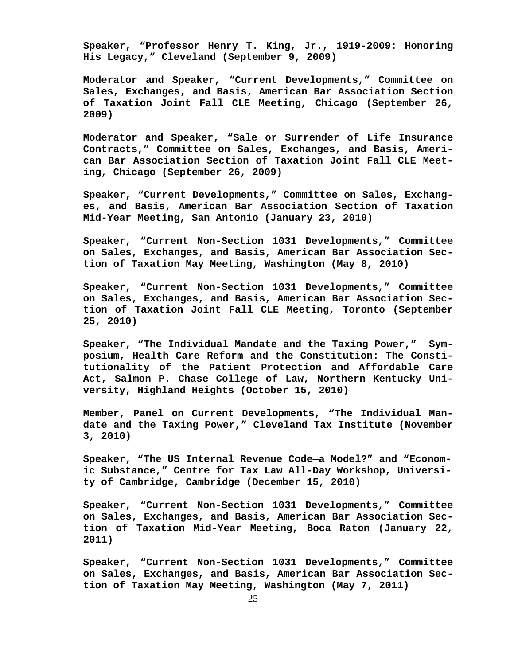**Speaker, "Professor Henry T. King, Jr., 1919-2009: Honoring His Legacy," Cleveland (September 9, 2009)**

**Moderator and Speaker, "Current Developments," Committee on Sales, Exchanges, and Basis, American Bar Association Section of Taxation Joint Fall CLE Meeting, Chicago (September 26, 2009)**

**Moderator and Speaker, "Sale or Surrender of Life Insurance Contracts," Committee on Sales, Exchanges, and Basis, American Bar Association Section of Taxation Joint Fall CLE Meeting, Chicago (September 26, 2009)**

**Speaker, "Current Developments," Committee on Sales, Exchanges, and Basis, American Bar Association Section of Taxation Mid-Year Meeting, San Antonio (January 23, 2010)**

**Speaker, "Current Non-Section 1031 Developments," Committee on Sales, Exchanges, and Basis, American Bar Association Section of Taxation May Meeting, Washington (May 8, 2010)**

**Speaker, "Current Non-Section 1031 Developments," Committee on Sales, Exchanges, and Basis, American Bar Association Section of Taxation Joint Fall CLE Meeting, Toronto (September 25, 2010)**

**Speaker, "The Individual Mandate and the Taxing Power," Symposium, Health Care Reform and the Constitution: The Constitutionality of the Patient Protection and Affordable Care Act, Salmon P. Chase College of Law, Northern Kentucky University, Highland Heights (October 15, 2010)**

**Member, Panel on Current Developments, "The Individual Mandate and the Taxing Power," Cleveland Tax Institute (November 3, 2010)**

**Speaker, "The US Internal Revenue Code—a Model?" and "Economic Substance," Centre for Tax Law All-Day Workshop, University of Cambridge, Cambridge (December 15, 2010)**

**Speaker, "Current Non-Section 1031 Developments," Committee on Sales, Exchanges, and Basis, American Bar Association Section of Taxation Mid-Year Meeting, Boca Raton (January 22, 2011)**

**Speaker, "Current Non-Section 1031 Developments," Committee on Sales, Exchanges, and Basis, American Bar Association Section of Taxation May Meeting, Washington (May 7, 2011)**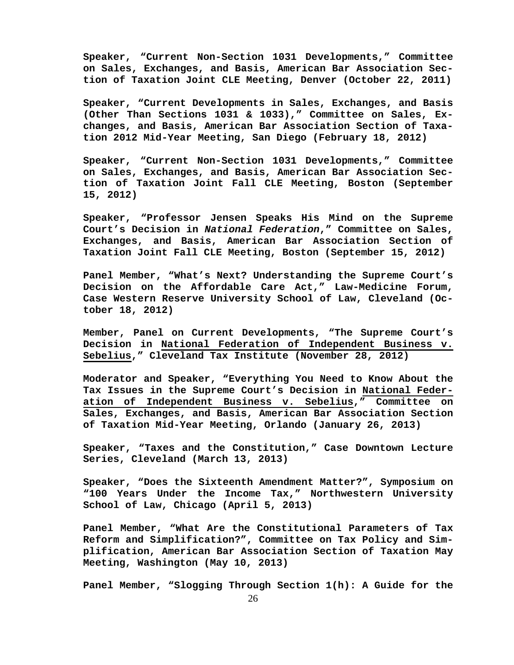**Speaker, "Current Non-Section 1031 Developments," Committee on Sales, Exchanges, and Basis, American Bar Association Section of Taxation Joint CLE Meeting, Denver (October 22, 2011)**

**Speaker, "Current Developments in Sales, Exchanges, and Basis (Other Than Sections 1031 & 1033)," Committee on Sales, Exchanges, and Basis, American Bar Association Section of Taxation 2012 Mid-Year Meeting, San Diego (February 18, 2012)**

**Speaker, "Current Non-Section 1031 Developments," Committee on Sales, Exchanges, and Basis, American Bar Association Section of Taxation Joint Fall CLE Meeting, Boston (September 15, 2012)**

**Speaker, "Professor Jensen Speaks His Mind on the Supreme Court's Decision in** *National Federation***," Committee on Sales, Exchanges, and Basis, American Bar Association Section of Taxation Joint Fall CLE Meeting, Boston (September 15, 2012)**

**Panel Member, "What's Next? Understanding the Supreme Court's Decision on the Affordable Care Act," Law-Medicine Forum, Case Western Reserve University School of Law, Cleveland (October 18, 2012)**

**Member, Panel on Current Developments, "The Supreme Court's Decision in National Federation of Independent Business v. Sebelius," Cleveland Tax Institute (November 28, 2012)**

**Moderator and Speaker, "Everything You Need to Know About the Tax Issues in the Supreme Court's Decision in National Federation of Independent Business v. Sebelius," Committee on Sales, Exchanges, and Basis, American Bar Association Section of Taxation Mid-Year Meeting, Orlando (January 26, 2013)**

**Speaker, "Taxes and the Constitution," Case Downtown Lecture Series, Cleveland (March 13, 2013)**

**Speaker, "Does the Sixteenth Amendment Matter?", Symposium on "100 Years Under the Income Tax," Northwestern University School of Law, Chicago (April 5, 2013)**

**Panel Member, "What Are the Constitutional Parameters of Tax Reform and Simplification?", Committee on Tax Policy and Simplification, American Bar Association Section of Taxation May Meeting, Washington (May 10, 2013)**

**Panel Member, "Slogging Through Section 1(h): A Guide for the**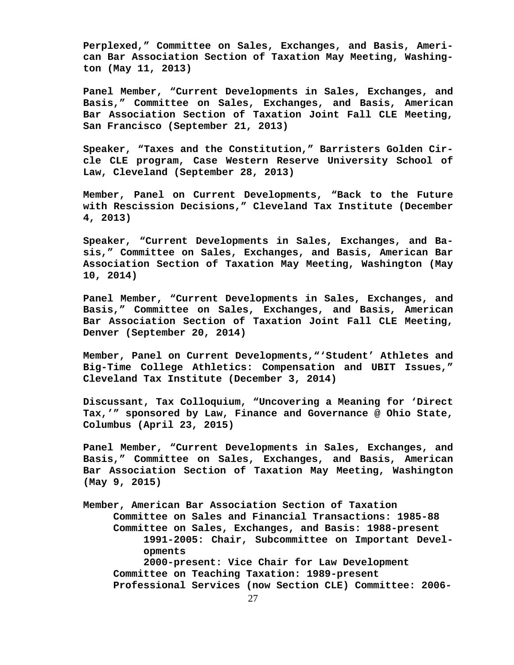**Perplexed," Committee on Sales, Exchanges, and Basis, American Bar Association Section of Taxation May Meeting, Washington (May 11, 2013)**

**Panel Member, "Current Developments in Sales, Exchanges, and Basis," Committee on Sales, Exchanges, and Basis, American Bar Association Section of Taxation Joint Fall CLE Meeting, San Francisco (September 21, 2013)**

**Speaker, "Taxes and the Constitution," Barristers Golden Circle CLE program, Case Western Reserve University School of Law, Cleveland (September 28, 2013)**

**Member, Panel on Current Developments, "Back to the Future with Rescission Decisions," Cleveland Tax Institute (December 4, 2013)**

**Speaker, "Current Developments in Sales, Exchanges, and Basis," Committee on Sales, Exchanges, and Basis, American Bar Association Section of Taxation May Meeting, Washington (May 10, 2014)**

**Panel Member, "Current Developments in Sales, Exchanges, and Basis," Committee on Sales, Exchanges, and Basis, American Bar Association Section of Taxation Joint Fall CLE Meeting, Denver (September 20, 2014)**

**Member, Panel on Current Developments,"'Student' Athletes and Big-Time College Athletics: Compensation and UBIT Issues," Cleveland Tax Institute (December 3, 2014)**

**Discussant, Tax Colloquium, "Uncovering a Meaning for 'Direct Tax,'" sponsored by Law, Finance and Governance @ Ohio State, Columbus (April 23, 2015)**

**Panel Member, "Current Developments in Sales, Exchanges, and Basis," Committee on Sales, Exchanges, and Basis, American Bar Association Section of Taxation May Meeting, Washington (May 9, 2015)**

**Member, American Bar Association Section of Taxation Committee on Sales and Financial Transactions: 1985-88 Committee on Sales, Exchanges, and Basis: 1988-present 1991-2005: Chair, Subcommittee on Important Developments 2000-present: Vice Chair for Law Development Committee on Teaching Taxation: 1989-present Professional Services (now Section CLE) Committee: 2006-**